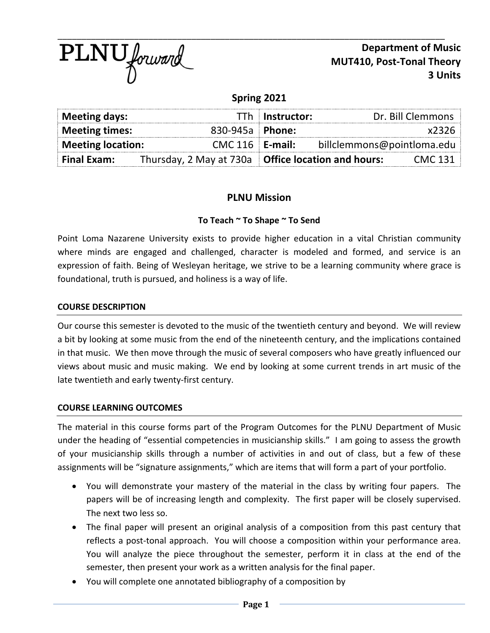

**Department of Music MUT410, Post-Tonal Theory 3 Units**

# **Spring 2021**

| Meeting days:                                 |                                                      | TTh Instructor:            | Dr. Bill Clemmons |
|-----------------------------------------------|------------------------------------------------------|----------------------------|-------------------|
| <b>Meeting times:</b>                         |                                                      | 830-945a   Phone:          | x2326             |
| $CMC 116$ E-mail:<br><b>Meeting location:</b> |                                                      | billclemmons@pointloma.edu |                   |
| <b>Final Exam:</b>                            | Thursday, 2 May at 730a   Office location and hours: |                            | <b>CMC 131</b>    |

## **PLNU Mission**

### **To Teach ~ To Shape ~ To Send**

Point Loma Nazarene University exists to provide higher education in a vital Christian community where minds are engaged and challenged, character is modeled and formed, and service is an expression of faith. Being of Wesleyan heritage, we strive to be a learning community where grace is foundational, truth is pursued, and holiness is a way of life.

### **COURSE DESCRIPTION**

Our course this semester is devoted to the music of the twentieth century and beyond. We will review a bit by looking at some music from the end of the nineteenth century, and the implications contained in that music. We then move through the music of several composers who have greatly influenced our views about music and music making. We end by looking at some current trends in art music of the late twentieth and early twenty-first century.

### **COURSE LEARNING OUTCOMES**

The material in this course forms part of the Program Outcomes for the PLNU Department of Music under the heading of "essential competencies in musicianship skills." I am going to assess the growth of your musicianship skills through a number of activities in and out of class, but a few of these assignments will be "signature assignments," which are items that will form a part of your portfolio.

- You will demonstrate your mastery of the material in the class by writing four papers. The papers will be of increasing length and complexity. The first paper will be closely supervised. The next two less so.
- The final paper will present an original analysis of a composition from this past century that reflects a post-tonal approach. You will choose a composition within your performance area. You will analyze the piece throughout the semester, perform it in class at the end of the semester, then present your work as a written analysis for the final paper.
- You will complete one annotated bibliography of a composition by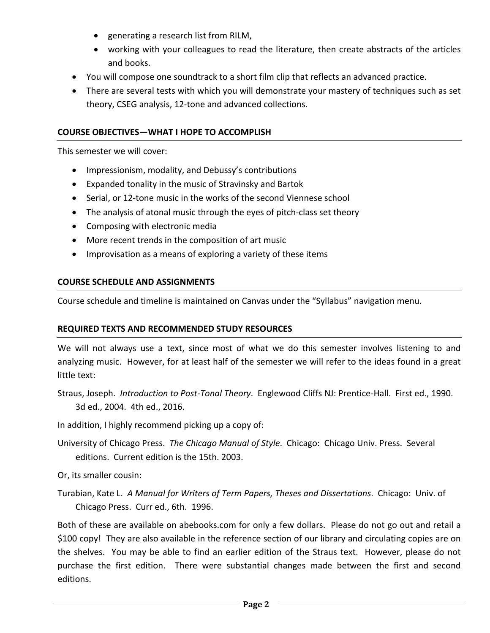- generating a research list from RILM,
- working with your colleagues to read the literature, then create abstracts of the articles and books.
- You will compose one soundtrack to a short film clip that reflects an advanced practice.
- There are several tests with which you will demonstrate your mastery of techniques such as set theory, CSEG analysis, 12-tone and advanced collections.

## **COURSE OBJECTIVES—WHAT I HOPE TO ACCOMPLISH**

This semester we will cover:

- Impressionism, modality, and Debussy's contributions
- Expanded tonality in the music of Stravinsky and Bartok
- Serial, or 12-tone music in the works of the second Viennese school
- The analysis of atonal music through the eyes of pitch-class set theory
- Composing with electronic media
- More recent trends in the composition of art music
- Improvisation as a means of exploring a variety of these items

## **COURSE SCHEDULE AND ASSIGNMENTS**

Course schedule and timeline is maintained on Canvas under the "Syllabus" navigation menu.

## **REQUIRED TEXTS AND RECOMMENDED STUDY RESOURCES**

We will not always use a text, since most of what we do this semester involves listening to and analyzing music. However, for at least half of the semester we will refer to the ideas found in a great little text:

- Straus, Joseph. *Introduction to Post-Tonal Theory*. Englewood Cliffs NJ: Prentice-Hall. First ed., 1990. 3d ed., 2004. 4th ed., 2016.
- In addition, I highly recommend picking up a copy of:
- University of Chicago Press. *The Chicago Manual of Style*. Chicago: Chicago Univ. Press. Several editions. Current edition is the 15th. 2003.

Or, its smaller cousin:

Turabian, Kate L. *A Manual for Writers of Term Papers, Theses and Dissertations*. Chicago: Univ. of Chicago Press. Curr ed., 6th. 1996.

Both of these are available on abebooks.com for only a few dollars. Please do not go out and retail a \$100 copy! They are also available in the reference section of our library and circulating copies are on the shelves. You may be able to find an earlier edition of the Straus text. However, please do not purchase the first edition. There were substantial changes made between the first and second editions.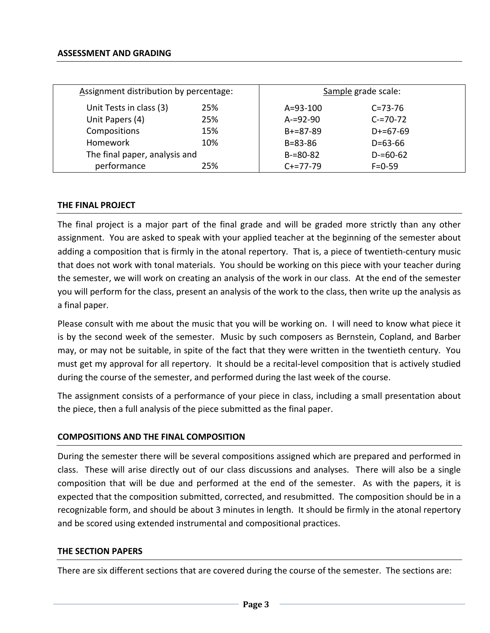| Assignment distribution by percentage: |     | Sample grade scale: |               |  |
|----------------------------------------|-----|---------------------|---------------|--|
| Unit Tests in class (3)                | 25% | $A = 93 - 100$      | $C = 73 - 76$ |  |
| Unit Papers (4)                        | 25% | $A = 92 - 90$       | $C = 70 - 72$ |  |
| Compositions                           | 15% | $B+=87-89$          | $D+=67-69$    |  |
| <b>Homework</b>                        | 10% | $B = 83 - 86$       | $D = 63 - 66$ |  |
| The final paper, analysis and          |     | $B = 80 - 82$       | $D = 60 - 62$ |  |
| performance                            | 25% | $C+=77-79$          | $F = 0 - 59$  |  |

#### **THE FINAL PROJECT**

The final project is a major part of the final grade and will be graded more strictly than any other assignment. You are asked to speak with your applied teacher at the beginning of the semester about adding a composition that is firmly in the atonal repertory. That is, a piece of twentieth-century music that does not work with tonal materials. You should be working on this piece with your teacher during the semester, we will work on creating an analysis of the work in our class. At the end of the semester you will perform for the class, present an analysis of the work to the class, then write up the analysis as a final paper.

Please consult with me about the music that you will be working on. I will need to know what piece it is by the second week of the semester. Music by such composers as Bernstein, Copland, and Barber may, or may not be suitable, in spite of the fact that they were written in the twentieth century. You must get my approval for all repertory. It should be a recital-level composition that is actively studied during the course of the semester, and performed during the last week of the course.

The assignment consists of a performance of your piece in class, including a small presentation about the piece, then a full analysis of the piece submitted as the final paper.

### **COMPOSITIONS AND THE FINAL COMPOSITION**

During the semester there will be several compositions assigned which are prepared and performed in class. These will arise directly out of our class discussions and analyses. There will also be a single composition that will be due and performed at the end of the semester. As with the papers, it is expected that the composition submitted, corrected, and resubmitted. The composition should be in a recognizable form, and should be about 3 minutes in length. It should be firmly in the atonal repertory and be scored using extended instrumental and compositional practices.

#### **THE SECTION PAPERS**

There are six different sections that are covered during the course of the semester. The sections are: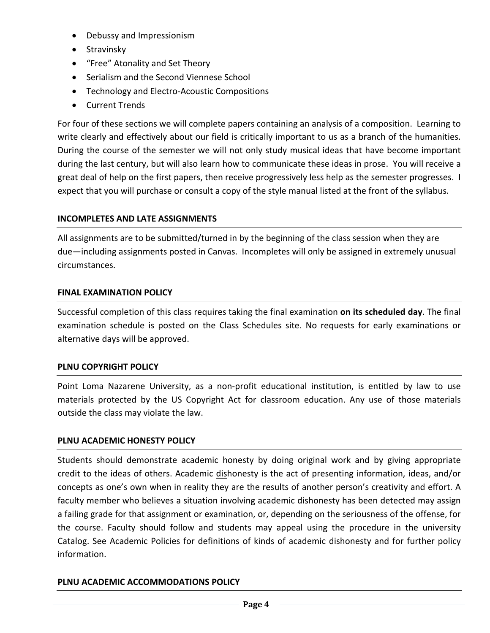- Debussy and Impressionism
- Stravinsky
- "Free" Atonality and Set Theory
- Serialism and the Second Viennese School
- Technology and Electro-Acoustic Compositions
- Current Trends

For four of these sections we will complete papers containing an analysis of a composition. Learning to write clearly and effectively about our field is critically important to us as a branch of the humanities. During the course of the semester we will not only study musical ideas that have become important during the last century, but will also learn how to communicate these ideas in prose. You will receive a great deal of help on the first papers, then receive progressively less help as the semester progresses. I expect that you will purchase or consult a copy of the style manual listed at the front of the syllabus.

## **INCOMPLETES AND LATE ASSIGNMENTS**

All assignments are to be submitted/turned in by the beginning of the class session when they are due—including assignments posted in Canvas. Incompletes will only be assigned in extremely unusual circumstances.

## **FINAL EXAMINATION POLICY**

Successful completion of this class requires taking the final examination **on its scheduled day**. The final examination schedule is posted on the Class Schedules site. No requests for early examinations or alternative days will be approved.

## **PLNU COPYRIGHT POLICY**

Point Loma Nazarene University, as a non-profit educational institution, is entitled by law to use materials protected by the US Copyright Act for classroom education. Any use of those materials outside the class may violate the law.

## **PLNU ACADEMIC HONESTY POLICY**

Students should demonstrate academic honesty by doing original work and by giving appropriate credit to the ideas of others. Academic dishonesty is the act of presenting information, ideas, and/or concepts as one's own when in reality they are the results of another person's creativity and effort. A faculty member who believes a situation involving academic dishonesty has been detected may assign a failing grade for that assignment or examination, or, depending on the seriousness of the offense, for the course. Faculty should follow and students may appeal using the procedure in the university Catalog. See Academic Policies for definitions of kinds of academic dishonesty and for further policy information.

## **PLNU ACADEMIC ACCOMMODATIONS POLICY**